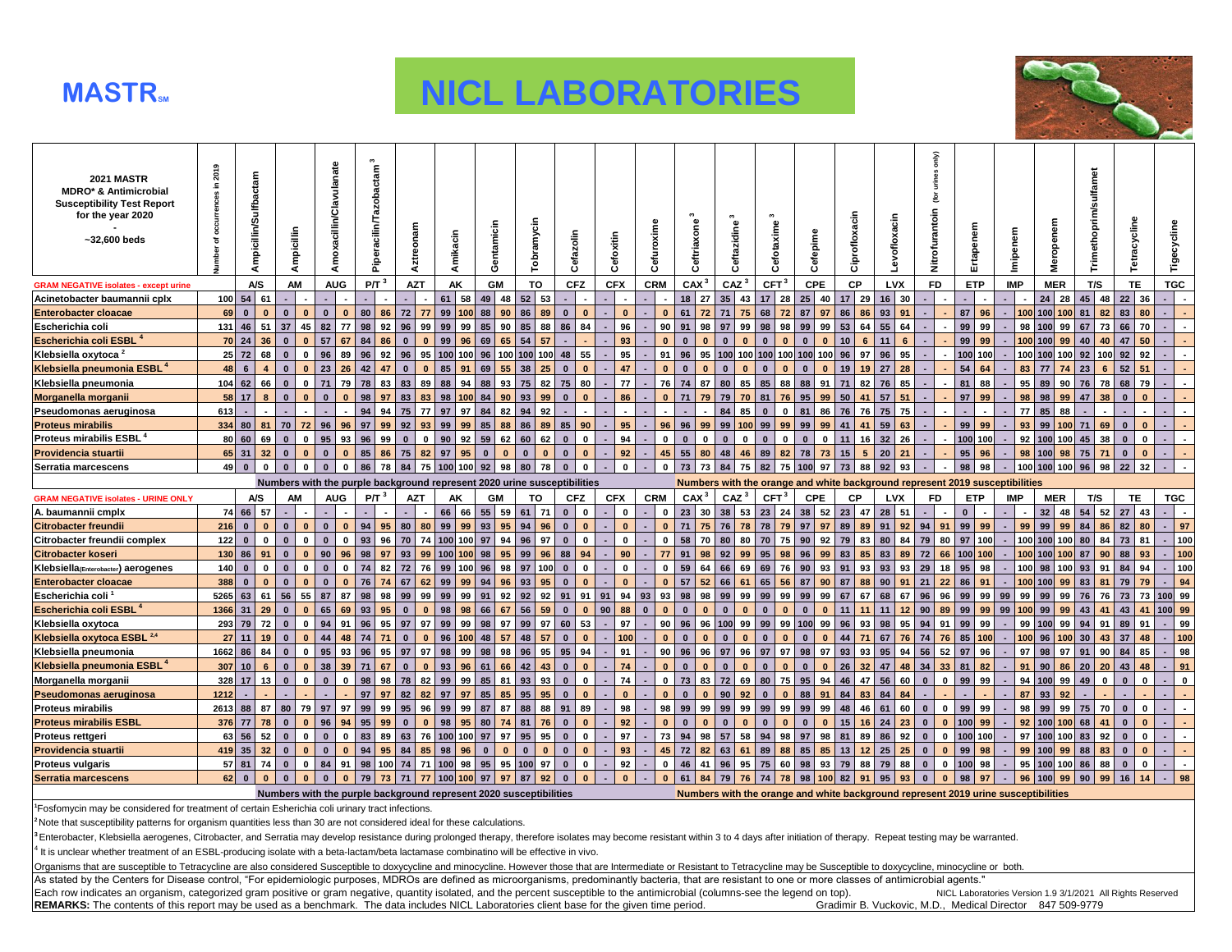

## **MASTR<sup>3</sup> <b>NICL LABORATORIES**



| <b>2021 MASTR</b><br><b>MDRO* &amp; Antimicrobial</b><br><b>Susceptibility Test Report</b><br>for the year 2020<br>$-32,600$ beds | in 2019    | Ampicillin/Sulfbactam                       | Ampicillin                  | Amoxacillin/Clavulanate      | acilin/Tazobactam <sup>3</sup><br>Piper | onam<br><b>Aztre</b>                                                     | Amikacin              | Gentamicin                   | Tobramycin                   | Cefazolin                                    | Cefoxitin              | Cefuroxime               | $\mathbf{c}$<br>Ceftriaxone | Ceftazidine                  | Cefotaxime                  | Cefepime                          | Ciprofloxacin                                                                      | Levofloxacin          | only)<br>urines<br>ē<br>Nitrofurantoin | Ertapenem              | Imipenem   | 5<br>Ź             | Trimethoprim/sulfamet | Tetracycline                 | Tigecycline          |
|-----------------------------------------------------------------------------------------------------------------------------------|------------|---------------------------------------------|-----------------------------|------------------------------|-----------------------------------------|--------------------------------------------------------------------------|-----------------------|------------------------------|------------------------------|----------------------------------------------|------------------------|--------------------------|-----------------------------|------------------------------|-----------------------------|-----------------------------------|------------------------------------------------------------------------------------|-----------------------|----------------------------------------|------------------------|------------|--------------------|-----------------------|------------------------------|----------------------|
| <b>GRAM NEGATIVE isolates - except urine</b>                                                                                      |            | A/S                                         | AM                          | <b>AUG</b>                   | $P/T^3$                                 | <b>AZT</b>                                                               | AK                    | GM                           | TO                           | <b>CFZ</b>                                   | <b>CFX</b>             | <b>CRM</b>               | CAX <sup>3</sup>            | CAZ <sup>3</sup>             | CFT <sup>3</sup>            | <b>CPE</b>                        | СP                                                                                 | <b>LVX</b>            | <b>FD</b>                              | <b>ETP</b>             | <b>IMP</b> | <b>MER</b>         | T/S                   | TE.                          | <b>TGC</b>           |
| Acinetobacter baumannii cplx                                                                                                      | 100        | 54<br>61                                    |                             |                              |                                         |                                                                          | 58<br>61              | 49<br>48                     | 53<br>52                     |                                              |                        |                          | 18<br>27                    | 35<br>43                     | 17<br>28                    | 25<br>40                          | 29<br>17                                                                           | $16$ 30               |                                        |                        |            | $24$ 28            | 45<br>48              | 22<br>36                     |                      |
| <b>Enterobacter cloacae</b>                                                                                                       | 69         | $\mathbf{0}$<br>$\mathbf{0}$                | $\bf{0}$<br>$\Omega$        | $\bf{0}$<br>$\mathbf{0}$     | 80<br>86                                | 72<br>77                                                                 | 99<br>100             | 90<br>88                     | 86<br>89                     | $\mathbf{0}$<br>$\mathbf{0}$                 | $\mathbf{0}$           | $\Omega$                 | 61<br>72                    | 71<br>75                     | 68<br>72                    | 97<br>87                          | 86<br>86                                                                           | 93<br>91              |                                        | 87<br>96               | 100        | 100 100            | 81<br>82              | 80<br>83                     |                      |
| Escherichia coli                                                                                                                  | 131        | 46<br>51                                    | 37<br>45                    | 82<br>77                     | 98<br>92                                | 96<br>99                                                                 | 99<br>99              | 90<br>85                     | 88<br>85                     | 86<br>84                                     | 96                     | 90                       | 91<br>98                    | 97<br>99                     | 98<br>98                    | 99<br>99                          | 64<br>53                                                                           | 55<br>64              |                                        | 99<br>99               | 98         | 99<br>100          | 67<br>73              | 66<br>70                     |                      |
| Escherichia coli ESBL <sup>4</sup>                                                                                                |            | 70 24<br>36                                 | $\Omega$                    | 57<br>67                     | 84<br>86                                | $\mathbf{0}$<br>$\mathbf{0}$                                             | 99<br>96              | 65<br>69                     | 54<br>57                     |                                              | 93                     | $\mathbf{0}$             |                             | $\Omega$                     | $\mathbf{a}$<br>$\Omega$    | $\mathbf{a}$<br>$\Omega$          | 6<br>10 <sup>1</sup>                                                               | 11<br>6               |                                        | 99<br>99               |            | 100 100<br>99      | 40<br>40              | 50<br>47                     |                      |
| Klebsiella oxytoca <sup>2</sup>                                                                                                   |            | $25$ 72<br>68                               | $\bf{0}$<br>$\Omega$        | 96<br>89                     | 96<br>92                                | 96<br>95                                                                 | 100 100               | 100<br>96                    | 100l<br>100                  | 48<br>55                                     | 95                     | 91                       | 96<br>95                    | 100<br>100                   | 100                         | 100 100<br>100                    | 97<br>96                                                                           | 96<br>95              |                                        | 100 100                |            | 100 100 100        | 92<br>100             | 92<br>92                     |                      |
| Klebsiella pneumonia ESBL <sup>4</sup>                                                                                            | 48         | $6\overline{6}$                             |                             | 23<br>26                     | 42<br>47                                | $\mathbf{0}$<br>$\mathbf{0}$                                             | 91<br>85              | 55<br>69                     | 38<br>25                     | $\mathbf{0}$<br>$\mathbf{0}$                 | 47                     | $\Omega$                 | $\Omega$                    | $\mathbf{0}$                 | $\bf{0}$                    | $\Omega$<br>$\Omega$              | 19<br>19                                                                           | 27<br>28              |                                        | 54<br>64               | 83         | 77                 | 23<br>6               | 52<br>51                     |                      |
| Klebsiella pneumonia                                                                                                              | 104        | 62<br>66                                    | $\Omega$                    | 71<br>79                     | 78<br>83                                | 89<br>83                                                                 | 94<br>88              | 93<br>88                     | 75<br>82                     | 75<br>80                                     | 77                     | 76                       | 74<br>87                    | 80<br>85                     | 88<br>85                    | 91<br>88                          | 82<br>71                                                                           | 76<br>85              |                                        | 81<br>88               | 95         | 89<br>90           | 76<br>78              | 79<br>68                     | $\blacksquare$       |
| Morganella morganii                                                                                                               |            | $58$ 17                                     |                             | $\bf{0}$                     | 98<br>97                                | 83<br>83                                                                 | 98<br>100             | 90<br>84                     | 93<br>99                     | $\mathbf{0}$<br>$\Omega$                     | 86                     |                          | 71                          | 79<br>70                     | 76<br>81                    | 99<br>95                          | 50<br>41                                                                           | 57<br>51              |                                        | 97<br>99               | 98         | 98<br>99           | 38<br>47              | $\bullet$                    |                      |
| Pseudomonas aeruginosa                                                                                                            | 613        |                                             |                             |                              | 94<br>94                                | 77<br>75                                                                 | 97<br>97              | 82<br>84                     | 94<br>92                     |                                              |                        |                          |                             | 84<br>85                     | $\mathbf{0}$<br>$\mathbf 0$ | 86<br>81                          | 76<br>76                                                                           | 75<br>75              |                                        |                        | 77         | 85<br>88           |                       |                              |                      |
| <b>Proteus mirabilis</b>                                                                                                          | $334$ 80   | 81                                          | 70<br>72                    | 96<br>96                     | 97<br>99                                | 92<br>93                                                                 | 99<br>99              | 88<br>85                     | 86<br>89                     | 85<br>90                                     | 95                     | 96                       | 96<br>99                    | 99<br>100                    | 99<br>99                    | 99<br>99                          | 41<br>41                                                                           | 59<br>63              |                                        | 99<br>99               | 93         | 99<br>100          | 71<br>69              | $\Omega$                     |                      |
| Proteus mirabilis ESBL <sup>4</sup>                                                                                               | 80         | 60<br>69                                    | $\bf{0}$<br>$\bf{0}$        | 95<br>93                     | 96<br>99                                | $\mathbf{0}$<br>$\mathbf{0}$                                             | 92<br>90 <sub>1</sub> | 62<br>59                     | 60<br>62                     | $\mathbf{0}$<br>$\mathbf{0}$                 | 94                     | $\mathbf{0}$             | $\mathbf{0}$<br>$\bf{0}$    | $\mathbf{0}$<br>$\mathbf{0}$ | $\bf{0}$<br>$\bf{0}$        | $\mathbf{0}$<br>$\bf{0}$          | 16<br>11                                                                           | 32 <sup>2</sup><br>26 |                                        | 100 100                | 92         | 100<br>100         | 38<br>45              | $\mathbf{0}$<br>$\bf{0}$     |                      |
| Providencia stuartii                                                                                                              |            | 65 31<br>32                                 | $\bf{0}$                    | $\mathbf{0}$<br>$\mathbf{0}$ | 85<br>86                                | 75<br>82                                                                 | 95<br>97              | $\mathbf{0}$<br>$\mathbf{0}$ | $\mathbf{0}$<br>$\mathbf{0}$ | $\mathbf{0}$<br>$\mathbf{0}$                 | 92                     | 45                       | 55<br>80                    | 48<br>46                     | 82<br>89                    | 73<br>78                          | 15<br>5                                                                            | 20<br>21              |                                        | 95<br>96               | 98         | $100$ 98           | 75<br>71              | $\mathbf{0}$                 |                      |
| Serratia marcescens                                                                                                               |            | $49$ 0<br>$\overline{0}$                    | $\mathbf{0}$<br>$\mathbf 0$ | $\mathbf 0$                  | 86 78<br>$\mathbf 0$                    | 84                                                                       | 75 100 100 92         | 98                           | 80<br>78                     | $\mathbf{0}$<br>$\mathbf{0}$                 | $\mathbf 0$            | $\mathbf{0}$             | 73<br>73                    | 84 75                        | 82                          | 75 100 97                         | 88<br>73                                                                           | $92$ 93               |                                        | 98<br>98               |            | 100 100 100 96     |                       | 98 22<br>32                  |                      |
|                                                                                                                                   |            |                                             |                             |                              |                                         |                                                                          |                       |                              |                              |                                              |                        |                          |                             |                              |                             |                                   |                                                                                    |                       |                                        |                        |            |                    |                       |                              |                      |
|                                                                                                                                   |            |                                             |                             |                              |                                         |                                                                          |                       |                              |                              |                                              |                        |                          |                             |                              |                             |                                   |                                                                                    |                       |                                        |                        |            |                    |                       |                              |                      |
|                                                                                                                                   |            |                                             |                             |                              |                                         | Numbers with the purple background represent 2020 urine susceptibilities |                       |                              |                              |                                              |                        |                          |                             |                              |                             |                                   | Numbers with the orange and white background represent 2019 susceptibilities       |                       |                                        |                        |            |                    |                       |                              |                      |
| <b>GRAM NEGATIVE isolates - URINE ONLY</b>                                                                                        |            | A/S                                         | AM                          | <b>AUG</b>                   | P/T <sup>3</sup>                        | <b>AZT</b>                                                               | AK                    | GM                           | TO                           | <b>CFZ</b><br>$\mathbf{0}$                   | <b>CFX</b><br>$\bf{0}$ | <b>CRM</b><br>$\bf{0}$   | CAX <sup>3</sup>            | CAZ <sup>3</sup>             | CFT <sup>3</sup>            | CPE                               | <b>CP</b>                                                                          | <b>LVX</b>            | <b>FD</b>                              | ETP<br>$\Omega$        | <b>IMP</b> | <b>MER</b>         | T/S                   | <b>TE</b>                    | <b>TGC</b><br>$\sim$ |
| A. baumannii cmplx                                                                                                                | 216        | 74 66<br>57<br>$\mathbf{0}$<br>$\mathbf{0}$ | $\mathbf{0}$                | $\bf{0}$<br>$\Omega$         | 94<br>95                                | 80<br>80                                                                 | 66<br>66<br>99<br>99  | 59<br>55<br>93               | 61<br>71<br>94<br>96         | $\mathbf{0}$<br>$\mathbf{0}$<br>$\mathbf{0}$ | $\Omega$               | $\bf{0}$                 | 23<br>30<br>71<br>75        | 38 53<br>76<br>78            | 23<br>24<br>78<br>79        | 52<br>38<br>97<br>97              | 23<br>47<br>89<br>89                                                               | 28<br>51<br>91<br>92  | 94<br>91                               | 99<br>99               | 99         | $32$ 48<br>$99$ 99 | 54<br>52<br>84<br>86  | 43<br>27<br>82<br>80         |                      |
| <b>Citrobacter freundii</b>                                                                                                       |            | $\mathbf{0}$<br>0                           | $\bf{0}$<br>O               | $\bf{0}$<br>$\mathbf{0}$     | 93<br>96                                | 70<br>74                                                                 | 100 100 97            | 95<br>94                     | 96<br>97                     | $\mathbf{0}$<br>$\mathbf{0}$                 | 0                      | $\bf{0}$                 | 58<br>70                    | 80<br>80                     | 75<br>70                    | 90 <sub>1</sub>                   | 79                                                                                 | 80<br>84              | 79<br>80                               | 97<br>100              |            | 100 100 100        | 80<br>84              | 81<br>73                     | 97                   |
| Citrobacter freundii complex                                                                                                      | 122        | 86<br>91                                    | $\bf{0}$                    | 90<br>96                     | 97                                      |                                                                          |                       |                              |                              | 88<br>94                                     | 90                     | 77                       | 98                          | 99                           |                             | 92                                | 83                                                                                 |                       |                                        |                        |            | 100 100 100        | 90                    | 93                           | 100                  |
| <b>Citrobacter koseri</b>                                                                                                         | 130<br>140 | $\mathbf{0}$<br>$\mathbf 0$                 | $\mathbf{0}$                | $\bf{0}$<br>$\mathbf{0}$     | 98<br>74<br>82                          | 99<br>93<br>72<br>76                                                     | 100 100 98<br>99 100  | 95<br>96                     | 99<br>96<br>97<br>100        | $\mathbf{0}$<br>$\mathbf 0$                  | $\mathbf 0$            | $\mathbf 0$              | 91<br>59<br>64              | 92<br>66<br>69               | 98<br>95<br>76<br>69        | 99<br>96<br>93<br>90 <sub>1</sub> | 85<br>83<br>91                                                                     | 83<br>89<br>93<br>93  | 72<br>29<br>18                         | 66 100 100<br>95<br>98 |            | $100$ 98<br>100    | 87<br>93<br>91        | 88<br>94<br>84               | 100                  |
| Klebsiella(Enterobacter) aerogenes                                                                                                | 388        | $\mathbf{0}$<br>$\mathbf{0}$                | $\Omega$                    | $\Omega$                     | 76                                      | 62<br>67                                                                 | 99<br>99              | 98<br>96<br>94               | 93<br>95                     | $\mathbf{0}$<br>$\Omega$                     | $\Omega$               | $\Omega$                 | 57<br>52                    | 66                           | 56<br>65                    | 90<br>87                          | 93<br>88<br>87                                                                     | 90<br>91              | 21<br>22                               | 86<br>91               |            | 100 100<br>99      | 83<br>81              | 79<br>79                     | 100                  |
| <b>Enterobacter cloacae</b><br>Escherichia coli <sup>1</sup>                                                                      | 5265       | 63<br>61                                    | 56<br>55                    | 87<br>87                     | 98<br>98                                | 99<br>99                                                                 | 99<br>99              | 92<br>91                     | 92<br>92                     | 91<br>91                                     | 91<br>94               | 93<br>93                 | 98<br>98                    | 99<br>99                     | 99<br>99                    | 99<br>99                          | 67<br>67                                                                           | 68<br>67              | 96<br>96                               | 99<br>99               | 99<br>99   | 99<br>99           | 76<br>76              | 73<br>73                     | 94<br>100 99         |
| Escherichia coli ESBL <sup>4</sup>                                                                                                | 1366       | 29<br>31                                    | $\Omega$                    | 65<br>69                     | 93<br>95                                | $\Omega$<br>$\mathbf{0}$                                                 | 98<br>98              | 67<br>66                     | 56<br>59                     | $\mathbf{0}$<br>$\Omega$                     | 90<br>88               | $\bf{0}$<br>$\mathbf{0}$ | $\Omega$<br>$\Omega$        | $\Omega$<br>$\mathbf{r}$     | $\Omega$                    | $\Omega$<br>$\Omega$              | 11                                                                                 | 11<br>12              | 90<br>89                               | 99<br>99               | 99<br>100l | 99<br>99           | 43<br>41              | 41<br>43                     | 100 99               |
| Klebsiella oxytoca                                                                                                                | 293        | 72<br>79                                    | $\bf{0}$                    | 94<br>91                     | 96<br>95                                | 97<br>97                                                                 | 99<br>99              | 97<br>98                     | 99<br>97                     | 60<br>53                                     | 97                     | 90                       | 96<br>96                    | 100<br>99                    | 99<br>99                    | 99<br>100                         | 93<br>96                                                                           | 95<br>98              | 94<br>91                               | 99<br>99               | 99         | 100 99             | 94<br>91              | 89<br>91                     | 99                   |
| Klebsiella oxytoca ESBL <sup>2,4</sup>                                                                                            | 27         | 11                                          | $\Omega$                    | 44<br>48                     | 74                                      | $\mathbf{0}$                                                             | 96<br>100             | 57<br>48                     | 48<br>57                     | $\Omega$                                     | 100                    | $\mathbf{0}$             |                             |                              |                             | $\Omega$                          | 44<br>71                                                                           | 67<br>76              | 74<br>76                               | 85<br>100              |            | $100$ 96<br>100    | 30<br>43              | 37<br>48                     | 100                  |
| Klebsiella pneumonia                                                                                                              | 1662       | 86<br>84                                    | $\mathbf{0}$                | 95<br>93                     | 96<br>95                                | 97<br>97                                                                 | 99<br>98              | 98<br>98                     | 96<br>95                     | 95<br>94                                     | 91                     | 90                       | 96<br>96                    | 97<br>96                     | 97<br>97                    | 97<br>98                          | 93<br>93                                                                           | 95<br>94              | 56<br>52                               | 97<br>96               | 97         | 98<br>97           | 91<br>90              | 84<br>85                     | 98                   |
| Klebsiella pneumonia ESBL <sup>4</sup>                                                                                            | 307        | 10<br>6                                     | $\Omega$                    | 38<br>39                     | 71<br>67                                | $\mathbf{0}$<br>$\mathbf{0}$                                             | 93<br>96              | 66<br>61                     | 42<br>43                     | $\mathbf{0}$<br>$\Omega$                     | 74                     |                          | $\Omega$                    | $\Omega$                     | $\Omega$                    | $\Omega$<br>$\Omega$              | 32<br>26                                                                           | 47<br>48              | 34<br>33                               | 81<br>82               | 91         | 90<br>86           | 20<br>20              | 43<br>48                     | 91                   |
| Morganella morganii                                                                                                               | $328$ 17   | 13                                          | $\Omega$<br><sup>0</sup>    | $\bf{0}$<br>$\mathbf{0}$     | 98<br>98                                | 78<br>82                                                                 | 99<br>99              | 81<br>85                     | 93<br>93                     | $\mathbf{0}$<br>$\mathbf 0$                  | 74                     | $\mathbf{0}$             | 73<br>83                    | 72<br>69                     | 75<br>80                    | 94<br>95                          | 47<br>46                                                                           | 56<br>60              | $\mathbf{0}$<br>$\mathbf 0$            | 99<br>99               | 94         | 100 99             | 49<br>$\bf{0}$        | $\mathbf{0}$<br>$\mathbf{0}$ | $\mathbf 0$          |
| Pseudomonas aeruginosa                                                                                                            | 1212       |                                             |                             |                              | 97<br>97                                | 82<br>82                                                                 | 97<br>97              | 85<br>85                     | 95<br>95                     | $\mathbf{0}$<br>$\Omega$                     | $\bf{0}$               |                          | $\Omega$<br>$\Omega$        | 90<br>92                     | $\mathbf{0}$<br>$\bf{0}$    | 91<br>88                          | 83<br>84                                                                           | 84<br>84              |                                        |                        | 87         | 93<br>92           |                       |                              |                      |
| <b>Proteus mirabilis</b>                                                                                                          | 2613       | 88<br>87                                    | 80<br>79                    | 97<br>97                     | 99<br>99                                | 96<br>95                                                                 | 99<br>99              | 87<br>87                     | 88<br>88                     | 91<br>89                                     | 98                     | 98                       | 99<br>99                    | 99<br>99                     | 99<br>99                    | 99<br>99                          | 46<br>48                                                                           | 60<br>61              | $\mathbf 0$<br>$\mathbf 0$             | 99<br>99               | 98         | 99<br>99           | 75<br>70              | $\mathbf{0}$<br>$\mathbf{0}$ |                      |
| <b>Proteus mirabilis ESBL</b>                                                                                                     | 376        | 78<br>77                                    | $\bf{0}$                    | 96<br>94                     | 95<br>99                                | $\mathbf{0}$<br>$\mathbf{0}$                                             | 95<br>98              | 74<br>80                     | 81<br>76                     | $\mathbf{0}$                                 | 92                     |                          | $\mathbf{0}$                | $\mathbf{0}$                 | $\bf{0}$<br>$\mathbf{0}$    | $\bf{0}$<br>$\mathbf{0}$          | 16<br>15                                                                           | 24<br>23              | $\mathbf{0}$<br>$\bf{0}$               | $100$ 99               | 92         | 100<br>100         | 41<br>68              | $\mathbf{0}$<br>$\Omega$     |                      |
| Proteus rettgeri                                                                                                                  | 63         | 56<br>52                                    | $\bf{0}$<br>$\Omega$        | $\bf{0}$<br>$\mathbf 0$      | 83<br>89                                | 63<br>76                                                                 | 100<br>100            | 97<br>97                     | 95<br>95                     | $\pmb{0}$<br>$\mathbf 0$                     | 97                     | 73                       | 94<br>98                    | 57<br>58                     | 98<br>94                    | 98<br>97                          | 89<br>81                                                                           | 86<br>92              | $\mathbf{0}$<br>$\mathbf{0}$           | 100<br>100             | 97         | 100<br>100         | 83<br>92              | $\mathbf{0}$<br>0            |                      |
| Providencia stuartii                                                                                                              | 419        | 35<br>32                                    | $\Omega$                    | $\bf{0}$<br>$\mathbf{0}$     | 94<br>95                                | 84<br>85                                                                 | 98<br>96              | $\Omega$<br>$\mathbf{0}$     | $\bf{0}$<br>$\Omega$         | $\mathbf{0}$<br>$\Omega$                     | 93                     | 45                       | 72<br>82                    | 63<br>61                     | 88<br>89                    | 85<br>85                          | 12<br>13                                                                           | 25<br>25              | $\mathbf{0}$<br>$\Omega$               | 99<br>98               | 99         | $100$ 99           | 88<br>83              | $\mathbf{0}$<br>$\Omega$     |                      |
| <b>Proteus vulgaris</b>                                                                                                           |            | $57$ 81<br>74                               | $\bf{0}$<br>$\bf{0}$        | 84<br>91                     | 98                                      | 100 74<br>71                                                             | 100 98                | 95<br>95                     | 100<br>97                    | $\mathbf{0}$<br>$\mathbf{0}$                 | 92<br>$\overline{a}$   | $\mathbf{0}$             | 46<br>41                    | 96<br>95                     | 75<br>60                    | 93<br>98                          | 88<br>79                                                                           | 79<br>88              | $\mathbf{0}$                           | $0$ 100<br>98          | 95         | 100 100            | 86<br>88              | $\mathbf{0}$<br>$\Omega$     |                      |
| Serratia marcescens                                                                                                               |            | $62$ 0                                      |                             | $\Omega$<br>$\Omega$         | 79<br>73                                | 77<br>71                                                                 | 100 100 97            | 97                           | 87<br>92                     | $\mathbf{0}$<br>$\Omega$                     | $\Omega$               | $\mathbf{0}$             | 61<br>84                    | 79<br>76                     | 74<br>78                    | 98                                | $100$ 82<br>91                                                                     | 95<br>93              | $\mathbf{0}$<br>$\Omega$               | 98<br>97               | 96         | $100$ 99           | 90<br>99              | 16<br>14                     | 98                   |
|                                                                                                                                   |            |                                             |                             |                              |                                         | Numbers with the purple background represent 2020 susceptibilities       |                       |                              |                              |                                              |                        |                          |                             |                              |                             |                                   | Numbers with the orange and white background represent 2019 urine susceptibilities |                       |                                        |                        |            |                    |                       |                              |                      |

**<sup>2</sup>**Note that susceptibility patterns for organism quantities less than 30 are not considered ideal for these calculations.

<sup>3</sup> Enterobacter, Klebsiella aerogenes, Citrobacter, and Serratia may develop resistance during prolonged therapy, therefore isolates may become resistant within 3 to 4 days after initiation of therapy. Repeat testing may

<sup>4</sup> It is unclear whether treatment of an ESBL-producing isolate with a beta-lactam/beta lactamase combinatino will be effective in vivo.

Organisms that are susceptible to Tetracycline are also considered Susceptible to doxycycline and minocycline. However those that are Intermediate or Resistant to Tetracycline may be Susceptible to doxycycline, minocycline

As stated by the Centers for Disease control, "For epidemiologic purposes, MDROs are defined as microorganisms, predominantly bacteria, that are resistant to one or more classes of antimicrobial agents."<br>Each row indicates Each row indicates an organism, categorized gram positive or gram negative, quantity isolated, and the percent susceptible to the antimicrobial (columns-see the legend on top). NICL Laboratories Version 1.9 3/1/2021 A REMA REMARKS: The contents of this report may be used as a benchmark. The data includes NICL Laboratories client base for the given time period.